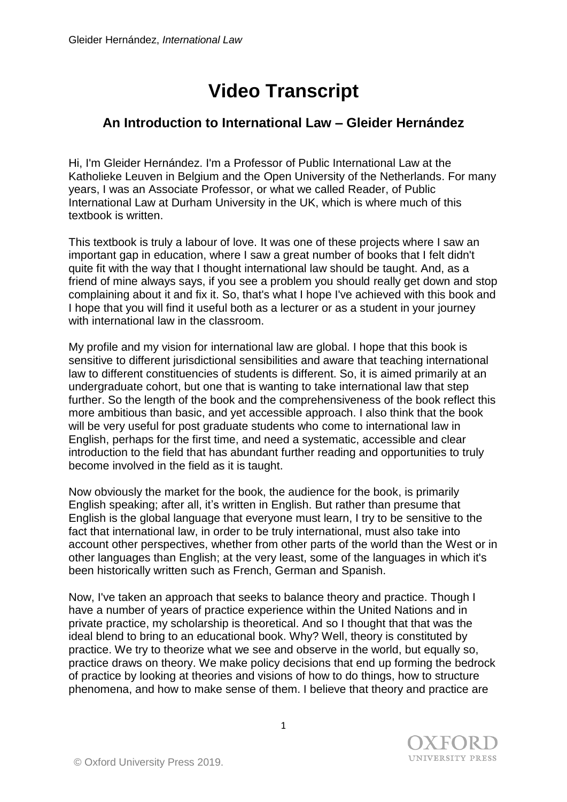## **Video Transcript**

## **An Introduction to International Law – Gleider Hernández**

Hi, I'm Gleider Hernández. I'm a Professor of Public International Law at the Katholieke Leuven in Belgium and the Open University of the Netherlands. For many years, I was an Associate Professor, or what we called Reader, of Public International Law at Durham University in the UK, which is where much of this textbook is written.

This textbook is truly a labour of love. It was one of these projects where I saw an important gap in education, where I saw a great number of books that I felt didn't quite fit with the way that I thought international law should be taught. And, as a friend of mine always says, if you see a problem you should really get down and stop complaining about it and fix it. So, that's what I hope I've achieved with this book and I hope that you will find it useful both as a lecturer or as a student in your journey with international law in the classroom.

My profile and my vision for international law are global. I hope that this book is sensitive to different jurisdictional sensibilities and aware that teaching international law to different constituencies of students is different. So, it is aimed primarily at an undergraduate cohort, but one that is wanting to take international law that step further. So the length of the book and the comprehensiveness of the book reflect this more ambitious than basic, and yet accessible approach. I also think that the book will be very useful for post graduate students who come to international law in English, perhaps for the first time, and need a systematic, accessible and clear introduction to the field that has abundant further reading and opportunities to truly become involved in the field as it is taught.

Now obviously the market for the book, the audience for the book, is primarily English speaking; after all, it's written in English. But rather than presume that English is the global language that everyone must learn, I try to be sensitive to the fact that international law, in order to be truly international, must also take into account other perspectives, whether from other parts of the world than the West or in other languages than English; at the very least, some of the languages in which it's been historically written such as French, German and Spanish.

Now, I've taken an approach that seeks to balance theory and practice. Though I have a number of years of practice experience within the United Nations and in private practice, my scholarship is theoretical. And so I thought that that was the ideal blend to bring to an educational book. Why? Well, theory is constituted by practice. We try to theorize what we see and observe in the world, but equally so, practice draws on theory. We make policy decisions that end up forming the bedrock of practice by looking at theories and visions of how to do things, how to structure phenomena, and how to make sense of them. I believe that theory and practice are